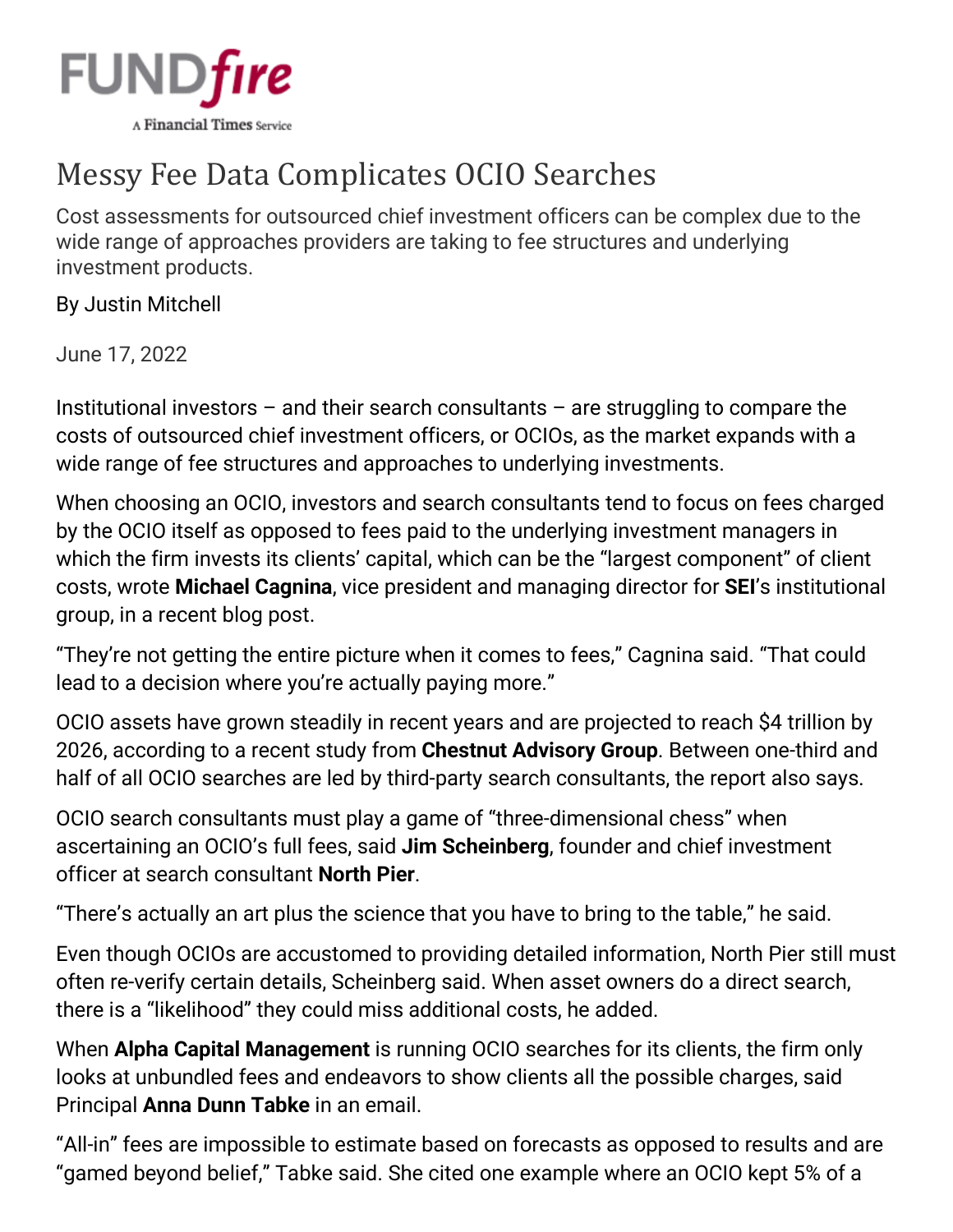

## Messy Fee Data Complicates OCIO Searches

Cost assessments for outsourced chief investment officers can be complex due to the wide range of approaches providers are taking to fee structures and underlying investment products.

By [Justin Mitchell](https://www.fundfire.com/email-contributor/141974/3646034/468384?from=%2Fpc%2F3646034%2F468384%3Fall%3Dtrue)

June 17, 2022

Institutional investors  $-$  and their search consultants  $-$  are struggling to compare the costs of outsourced chief investment officers, or OCIOs, as the market expands with a wide range of fee structures and approaches to underlying investments.

When choosing an OCIO, investors and search consultants tend to focus on fees charged by the OCIO itself as opposed to fees paid to the underlying investment managers in which the firm invests its clients' capital, which can be the "largest component" of client costs, wrote **Michael Cagnina**, vice president and managing director for **SEI**'s institutional group, in a [recent blog post.](https://seic.com/knowledge-center/ocio-fees-why-ocio-fee-only-part-cost)

"They're not getting the entire picture when it comes to fees," Cagnina said. "That could lead to a decision where you're actually paying more."

OCIO assets have grown steadily in recent years and are projected to reach \$4 trillion by 2026, [according](https://www.fundfire.com/c/3407734/434344?referrer_module=article) to a recent study from **Chestnut Advisory Group**. Between one-third and half of all OCIO searches are led by third-party search consultants, the [report also says.](https://www.fundfire.com/c/3475224/443734?referrer_module=article)

OCIO search consultants must play a game of "three-dimensional chess" when ascertaining an OCIO's full fees, said **Jim Scheinberg**, founder and chief investment officer at search consultant **North Pier**.

"There's actually an art plus the science that you have to bring to the table," he said.

Even though OCIOs are accustomed to providing detailed information, North Pier still must often re-verify certain details, Scheinberg said. When asset owners do a direct search, there is a "likelihood" they could miss additional costs, he added.

When **Alpha Capital Management** is running OCIO searches for its clients, the firm only looks at unbundled fees and endeavors to show clients all the possible charges, said Principal **Anna Dunn Tabke** in an email.

"All-in" fees are impossible to estimate based on forecasts as opposed to results and are "gamed beyond belief," Tabke said. She cited one example where an OCIO kept 5% of a